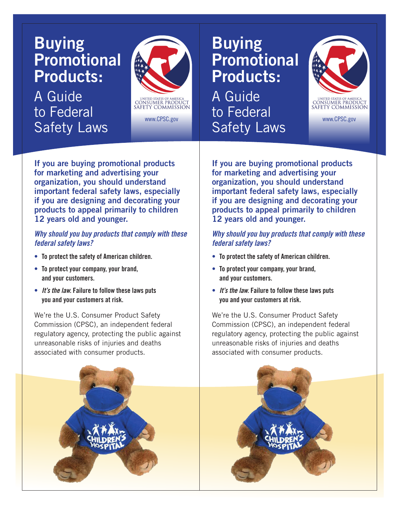## **Buying Promotional Products:**

A Guide to Federal **Safety Laws** 



www.CPSC.gov www.c

**If you are buying promotional products for marketing and advertising your organization, you should understand important federal safety laws, especially if you are designing and decorating your products to appeal primarily to children 12 years old and younger.** 

## *Why should you buy products that comply with these federal safety laws?*

- To protect the safety of American children.
- **• To protect your company, your brand,** and **your** customers.
- *It's the law.* Failure to follow these laws puts **you and your customers at risk.**

We're the U.S. Consumer Product Safety Commission (CPSC), an independent federal regulatory agency, protecting the public against unreasonable risks of injuries and deaths associated with consumer products.